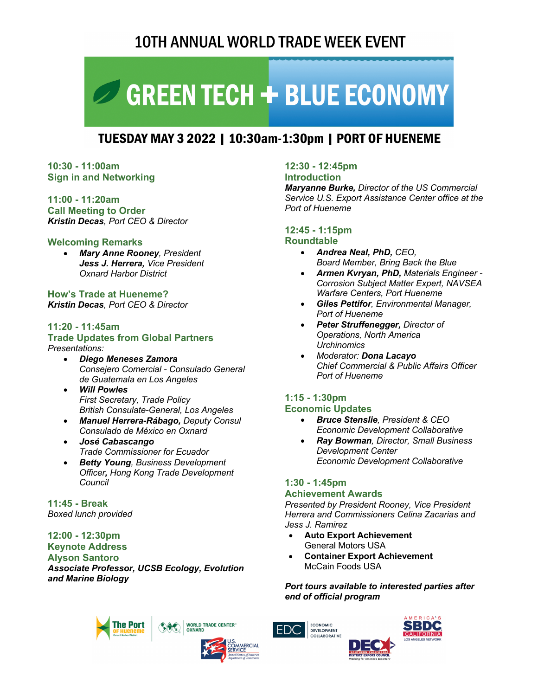# **10TH ANNUAL WORLD TRADE WEEK EVENT**

# GREEN TECH + BLUE ECONOMY

# TUESDAY MAY 3 2022 | 10:30am-1:30pm | PORT OF HUENEME

## **10:30 - 11:00am Sign in and Networking**

**11:00 - 11:20am Call Meeting to Order** *Kristin Decas, Port CEO & Director*

# **Welcoming Remarks**

• *Mary Anne Rooney, President Jess J. Herrera, Vice President Oxnard Harbor District* 

**How's Trade at Hueneme?** *Kristin Decas, Port CEO & Director*

#### **11:20 - 11:45am Trade Updates from Global Partners**

# *Presentations:*

- *Diego Meneses Zamora Consejero Comercial - Consulado General de Guatemala en Los Angeles*
- *Will Powles First Secretary, Trade Policy British Consulate-General, Los Angeles*
- *Manuel Herrera-Rábago, Deputy Consul Consulado de México en Oxnard*
- *José Cabascango Trade Commissioner for Ecuador*
- *Betty Young, Business Development Officer, Hong Kong Trade Development Council*

**11:45 - Break** *Boxed lunch provided*

# **12:00 - 12:30pm Keynote Address Alyson Santoro**

*Associate Professor, UCSB Ecology, Evolution and Marine Biology*

# **12:30 - 12:45pm**

**Introduction** 

*Maryanne Burke, Director of the US Commercial Service U.S. Export Assistance Center office at the Port of Hueneme*

# **12:45 - 1:15pm**

#### **Roundtable**

- *Andrea Neal, PhD, CEO, Board Member, Bring Back the Blue*
- *Armen Kvryan, PhD, Materials Engineer - Corrosion Subject Matter Expert, NAVSEA Warfare Centers, Port Hueneme*
- *Giles Pettifor, Environmental Manager, Port of Hueneme*
- *Peter Struffenegger, Director of Operations, North America Urchinomics*
- *Moderator: Dona Lacayo Chief Commercial & Public Affairs Officer Port of Hueneme*

#### **1:15 - 1:30pm Economic Updates**

#### • *Bruce Stenslie, President & CEO Economic Development Collaborative*

• *Ray Bowman, Director, Small Business Development Center Economic Development Collaborative*

# **1:30 - 1:45pm**

## **Achievement Awards**

*Presented by President Rooney, Vice President Herrera and Commissioners Celina Zacarias and Jess J. Ramirez*

- **Auto Export Achievement** General Motors USA
- **Container Export Achievement** McCain Foods USA

*Port tours available to interested parties after end of official program*







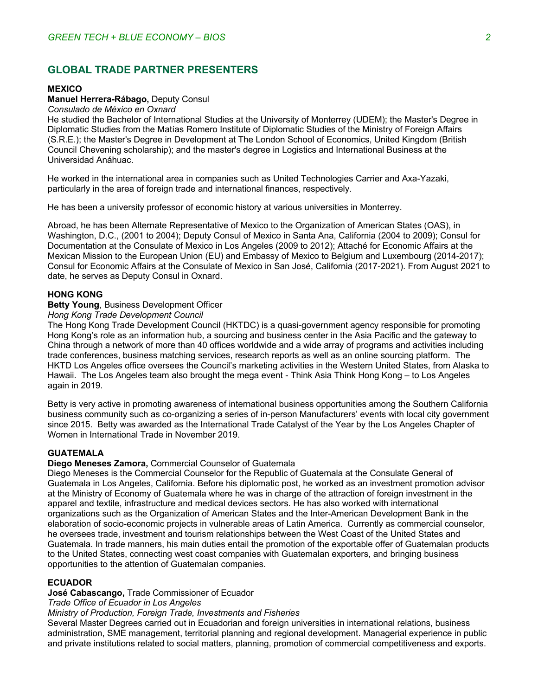# **GLOBAL TRADE PARTNER PRESENTERS**

#### **MEXICO**

## **Manuel Herrera-Rábago,** Deputy Consul

#### *Consulado de México en Oxnard*

He studied the Bachelor of International Studies at the University of Monterrey (UDEM); the Master's Degree in Diplomatic Studies from the Matías Romero Institute of Diplomatic Studies of the Ministry of Foreign Affairs (S.R.E.); the Master's Degree in Development at The London School of Economics, United Kingdom (British Council Chevening scholarship); and the master's degree in Logistics and International Business at the Universidad Anáhuac.

He worked in the international area in companies such as United Technologies Carrier and Axa-Yazaki, particularly in the area of foreign trade and international finances, respectively.

He has been a university professor of economic history at various universities in Monterrey.

Abroad, he has been Alternate Representative of Mexico to the Organization of American States (OAS), in Washington, D.C., (2001 to 2004); Deputy Consul of Mexico in Santa Ana, California (2004 to 2009); Consul for Documentation at the Consulate of Mexico in Los Angeles (2009 to 2012); Attaché for Economic Affairs at the Mexican Mission to the European Union (EU) and Embassy of Mexico to Belgium and Luxembourg (2014-2017); Consul for Economic Affairs at the Consulate of Mexico in San José, California (2017-2021). From August 2021 to date, he serves as Deputy Consul in Oxnard.

#### **HONG KONG**

#### **Betty Young**, Business Development Officer

*Hong Kong Trade Development Council*

The Hong Kong Trade Development Council (HKTDC) is a quasi-government agency responsible for promoting Hong Kong's role as an information hub, a sourcing and business center in the Asia Pacific and the gateway to China through a network of more than 40 offices worldwide and a wide array of programs and activities including trade conferences, business matching services, research reports as well as an online sourcing platform. The HKTD Los Angeles office oversees the Council's marketing activities in the Western United States, from Alaska to Hawaii. The Los Angeles team also brought the mega event - Think Asia Think Hong Kong – to Los Angeles again in 2019.

Betty is very active in promoting awareness of international business opportunities among the Southern California business community such as co-organizing a series of in-person Manufacturers' events with local city government since 2015. Betty was awarded as the International Trade Catalyst of the Year by the Los Angeles Chapter of Women in International Trade in November 2019.

#### **GUATEMALA**

#### **Diego Meneses Zamora,** Commercial Counselor of Guatemala

Diego Meneses is the Commercial Counselor for the Republic of Guatemala at the Consulate General of Guatemala in Los Angeles, California. Before his diplomatic post, he worked as an investment promotion advisor at the Ministry of Economy of Guatemala where he was in charge of the attraction of foreign investment in the apparel and textile, infrastructure and medical devices sectors. He has also worked with international organizations such as the Organization of American States and the Inter-American Development Bank in the elaboration of socio-economic projects in vulnerable areas of Latin America. Currently as commercial counselor, he oversees trade, investment and tourism relationships between the West Coast of the United States and Guatemala. In trade manners, his main duties entail the promotion of the exportable offer of Guatemalan products to the United States, connecting west coast companies with Guatemalan exporters, and bringing business opportunities to the attention of Guatemalan companies.

#### **ECUADOR**

**José Cabascango,** Trade Commissioner of Ecuador

*Trade Office of Ecuador in Los Angeles*

#### *Ministry of Production, Foreign Trade, Investments and Fisheries*

Several Master Degrees carried out in Ecuadorian and foreign universities in international relations, business administration, SME management, territorial planning and regional development. Managerial experience in public and private institutions related to social matters, planning, promotion of commercial competitiveness and exports.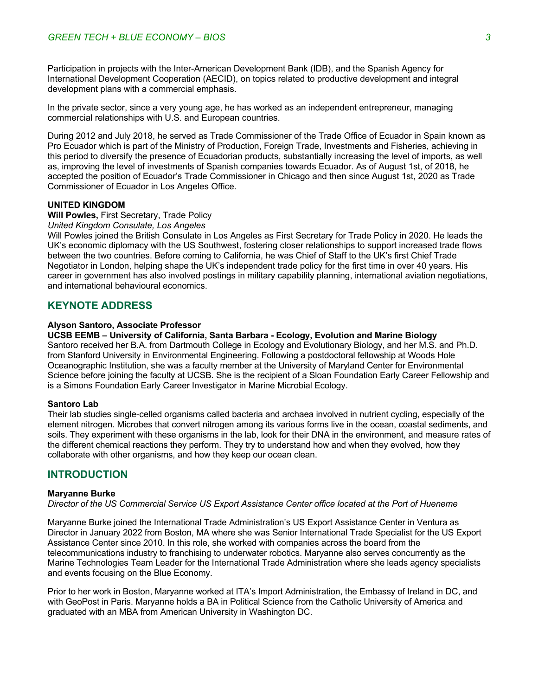Participation in projects with the Inter-American Development Bank (IDB), and the Spanish Agency for International Development Cooperation (AECID), on topics related to productive development and integral development plans with a commercial emphasis.

In the private sector, since a very young age, he has worked as an independent entrepreneur, managing commercial relationships with U.S. and European countries.

During 2012 and July 2018, he served as Trade Commissioner of the Trade Office of Ecuador in Spain known as Pro Ecuador which is part of the Ministry of Production, Foreign Trade, Investments and Fisheries, achieving in this period to diversify the presence of Ecuadorian products, substantially increasing the level of imports, as well as, improving the level of investments of Spanish companies towards Ecuador. As of August 1st, of 2018, he accepted the position of Ecuador's Trade Commissioner in Chicago and then since August 1st, 2020 as Trade Commissioner of Ecuador in Los Angeles Office.

#### **UNITED KINGDOM**

#### **Will Powles,** First Secretary, Trade Policy

# *United Kingdom Consulate, Los Angeles*

Will Powles joined the British Consulate in Los Angeles as First Secretary for Trade Policy in 2020. He leads the UK's economic diplomacy with the US Southwest, fostering closer relationships to support increased trade flows between the two countries. Before coming to California, he was Chief of Staff to the UK's first Chief Trade Negotiator in London, helping shape the UK's independent trade policy for the first time in over 40 years. His career in government has also involved postings in military capability planning, international aviation negotiations, and international behavioural economics.

# **KEYNOTE ADDRESS**

#### **Alyson Santoro, Associate Professor**

**UCSB EEMB – University of California, Santa Barbara - Ecology, Evolution and Marine Biology**

Santoro received her B.A. from Dartmouth College in Ecology and Evolutionary Biology, and her M.S. and Ph.D. from Stanford University in Environmental Engineering. Following a postdoctoral fellowship at Woods Hole Oceanographic Institution, she was a faculty member at the University of Maryland Center for Environmental Science before joining the faculty at UCSB. She is the recipient of a Sloan Foundation Early Career Fellowship and is a Simons Foundation Early Career Investigator in Marine Microbial Ecology.

#### **Santoro Lab**

Their lab studies single-celled organisms called bacteria and archaea involved in nutrient cycling, especially of the element nitrogen. Microbes that convert nitrogen among its various forms live in the ocean, coastal sediments, and soils. They experiment with these organisms in the lab, look for their DNA in the environment, and measure rates of the different chemical reactions they perform. They try to understand how and when they evolved, how they collaborate with other organisms, and how they keep our ocean clean.

#### **INTRODUCTION**

#### **Maryanne Burke**

*Director of the US Commercial Service US Export Assistance Center office located at the Port of Hueneme* 

Maryanne Burke joined the International Trade Administration's US Export Assistance Center in Ventura as Director in January 2022 from Boston, MA where she was Senior International Trade Specialist for the US Export Assistance Center since 2010. In this role, she worked with companies across the board from the telecommunications industry to franchising to underwater robotics. Maryanne also serves concurrently as the Marine Technologies Team Leader for the International Trade Administration where she leads agency specialists and events focusing on the Blue Economy.

Prior to her work in Boston, Maryanne worked at ITA's Import Administration, the Embassy of Ireland in DC, and with GeoPost in Paris. Maryanne holds a BA in Political Science from the Catholic University of America and graduated with an MBA from American University in Washington DC.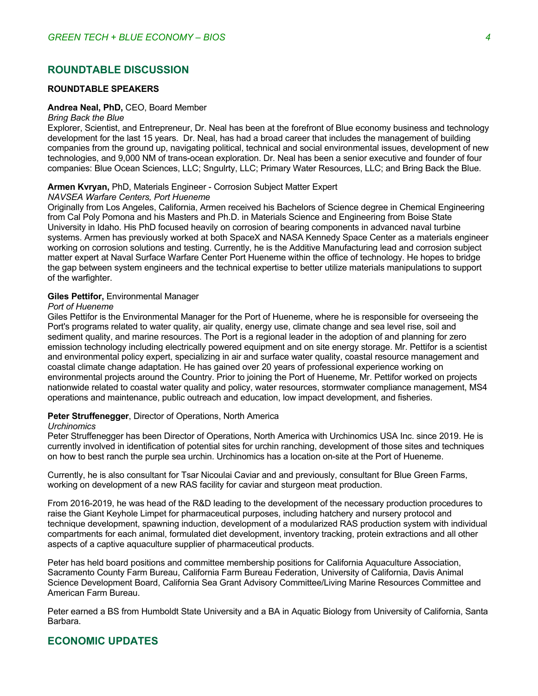# **ROUNDTABLE DISCUSSION**

#### **ROUNDTABLE SPEAKERS**

#### **Andrea Neal, PhD,** CEO, Board Member

#### *Bring Back the Blue*

Explorer, Scientist, and Entrepreneur, Dr. Neal has been at the forefront of Blue economy business and technology development for the last 15 years. Dr. Neal, has had a broad career that includes the management of building companies from the ground up, navigating political, technical and social environmental issues, development of new technologies, and 9,000 NM of trans-ocean exploration. Dr. Neal has been a senior executive and founder of four companies: Blue Ocean Sciences, LLC; Sngulrty, LLC; Primary Water Resources, LLC; and Bring Back the Blue.

#### **Armen Kvryan,** PhD, Materials Engineer - Corrosion Subject Matter Expert

#### *NAVSEA Warfare Centers, Port Hueneme*

Originally from Los Angeles, California, Armen received his Bachelors of Science degree in Chemical Engineering from Cal Poly Pomona and his Masters and Ph.D. in Materials Science and Engineering from Boise State University in Idaho. His PhD focused heavily on corrosion of bearing components in advanced naval turbine systems. Armen has previously worked at both SpaceX and NASA Kennedy Space Center as a materials engineer working on corrosion solutions and testing. Currently, he is the Additive Manufacturing lead and corrosion subject matter expert at Naval Surface Warfare Center Port Hueneme within the office of technology. He hopes to bridge the gap between system engineers and the technical expertise to better utilize materials manipulations to support of the warfighter.

#### **Giles Pettifor,** Environmental Manager

#### *Port of Hueneme*

Giles Pettifor is the Environmental Manager for the Port of Hueneme, where he is responsible for overseeing the Port's programs related to water quality, air quality, energy use, climate change and sea level rise, soil and sediment quality, and marine resources. The Port is a regional leader in the adoption of and planning for zero emission technology including electrically powered equipment and on site energy storage. Mr. Pettifor is a scientist and environmental policy expert, specializing in air and surface water quality, coastal resource management and coastal climate change adaptation. He has gained over 20 years of professional experience working on environmental projects around the Country. Prior to joining the Port of Hueneme, Mr. Pettifor worked on projects nationwide related to coastal water quality and policy, water resources, stormwater compliance management, MS4 operations and maintenance, public outreach and education, low impact development, and fisheries.

#### **Peter Struffenegger**, Director of Operations, North America

#### *Urchinomics*

Peter Struffenegger has been Director of Operations, North America with Urchinomics USA Inc. since 2019. He is currently involved in identification of potential sites for urchin ranching, development of those sites and techniques on how to best ranch the purple sea urchin. Urchinomics has a location on-site at the Port of Hueneme.

Currently, he is also consultant for Tsar Nicoulai Caviar and and previously, consultant for Blue Green Farms, working on development of a new RAS facility for caviar and sturgeon meat production.

From 2016-2019, he was head of the R&D leading to the development of the necessary production procedures to raise the Giant Keyhole Limpet for pharmaceutical purposes, including hatchery and nursery protocol and technique development, spawning induction, development of a modularized RAS production system with individual compartments for each animal, formulated diet development, inventory tracking, protein extractions and all other aspects of a captive aquaculture supplier of pharmaceutical products.

Peter has held board positions and committee membership positions for California Aquaculture Association, Sacramento County Farm Bureau, California Farm Bureau Federation, University of California, Davis Animal Science Development Board, California Sea Grant Advisory Committee/Living Marine Resources Committee and American Farm Bureau.

Peter earned a BS from Humboldt State University and a BA in Aquatic Biology from University of California, Santa Barbara.

# **ECONOMIC UPDATES**